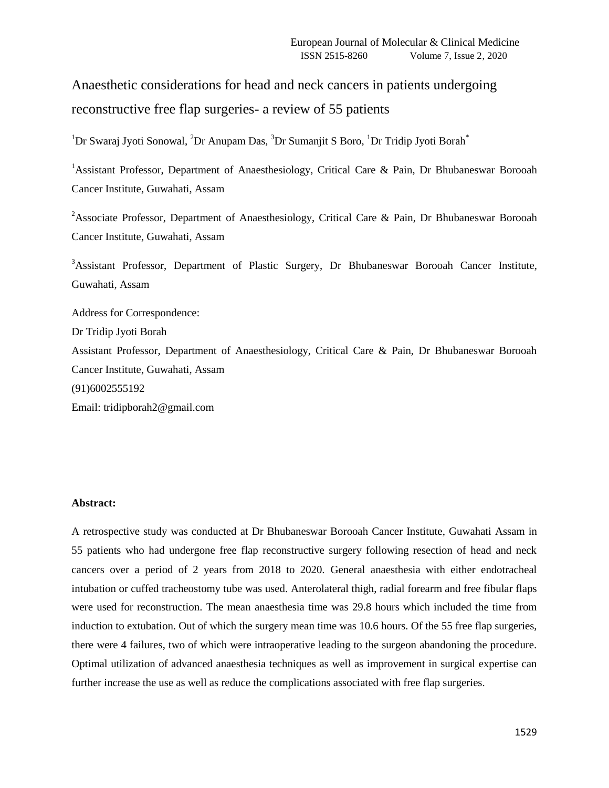Anaesthetic considerations for head and neck cancers in patients undergoing reconstructive free flap surgeries- a review of 55 patients

 $1$ Dr Swaraj Jyoti Sonowal,  $2$ Dr Anupam Das,  $3$ Dr Sumanjit S Boro,  $1$ Dr Tridip Jyoti Borah $^*$ 

<sup>1</sup> Assistant Professor, Department of Anaesthesiology, Critical Care & Pain, Dr Bhubaneswar Borooah Cancer Institute, Guwahati, Assam

<sup>2</sup>Associate Professor, Department of Anaesthesiology, Critical Care & Pain, Dr Bhubaneswar Borooah Cancer Institute, Guwahati, Assam

<sup>3</sup>Assistant Professor, Department of Plastic Surgery, Dr Bhubaneswar Borooah Cancer Institute, Guwahati, Assam

Address for Correspondence: Dr Tridip Jyoti Borah Assistant Professor, Department of Anaesthesiology, Critical Care & Pain, Dr Bhubaneswar Borooah Cancer Institute, Guwahati, Assam (91)6002555192

Email: tridipborah2@gmail.com

### **Abstract:**

A retrospective study was conducted at Dr Bhubaneswar Borooah Cancer Institute, Guwahati Assam in 55 patients who had undergone free flap reconstructive surgery following resection of head and neck cancers over a period of 2 years from 2018 to 2020. General anaesthesia with either endotracheal intubation or cuffed tracheostomy tube was used. Anterolateral thigh, radial forearm and free fibular flaps were used for reconstruction. The mean anaesthesia time was 29.8 hours which included the time from induction to extubation. Out of which the surgery mean time was 10.6 hours. Of the 55 free flap surgeries, there were 4 failures, two of which were intraoperative leading to the surgeon abandoning the procedure. Optimal utilization of advanced anaesthesia techniques as well as improvement in surgical expertise can further increase the use as well as reduce the complications associated with free flap surgeries.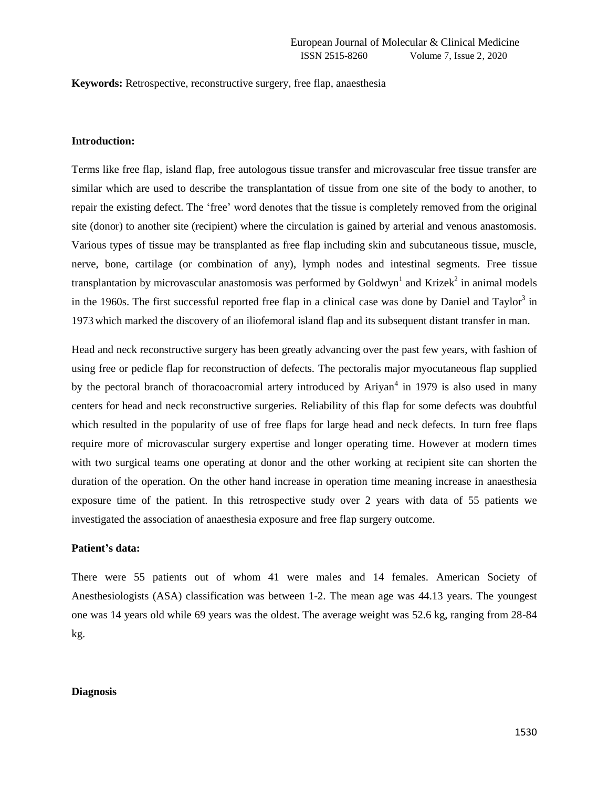**Keywords:** Retrospective, reconstructive surgery, free flap, anaesthesia

### **Introduction:**

Terms like free flap, island flap, free autologous tissue transfer and microvascular free tissue transfer are similar which are used to describe the transplantation of tissue from one site of the body to another, to repair the existing defect. The 'free' word denotes that the tissue is completely removed from the original site (donor) to another site (recipient) where the circulation is gained by arterial and venous anastomosis. Various types of tissue may be transplanted as free flap including skin and subcutaneous tissue, muscle, nerve, bone, cartilage (or combination of any), lymph nodes and intestinal segments. Free tissue transplantation by microvascular anastomosis was performed by Goldwyn<sup>1</sup> and Krizek<sup>2</sup> in animal models in the 1960s. The first successful reported free flap in a clinical case was done by Daniel and Taylor<sup>3</sup> in 1973 which marked the discovery of an iliofemoral island flap and its subsequent distant transfer in man.

Head and neck reconstructive surgery has been greatly advancing over the past few years, with fashion of using free or pedicle flap for reconstruction of defects. The pectoralis major myocutaneous flap supplied by the pectoral branch of thoracoacromial artery introduced by Ariyan<sup>4</sup> in 1979 is also used in many centers for head and neck reconstructive surgeries. Reliability of this flap for some defects was doubtful which resulted in the popularity of use of free flaps for large head and neck defects. In turn free flaps require more of microvascular surgery expertise and longer operating time. However at modern times with two surgical teams one operating at donor and the other working at recipient site can shorten the duration of the operation. On the other hand increase in operation time meaning increase in anaesthesia exposure time of the patient. In this retrospective study over 2 years with data of 55 patients we investigated the association of anaesthesia exposure and free flap surgery outcome.

### **Patient's data:**

There were 55 patients out of whom 41 were males and 14 females. American Society of Anesthesiologists (ASA) classification was between 1-2. The mean age was 44.13 years. The youngest one was 14 years old while 69 years was the oldest. The average weight was 52.6 kg, ranging from 28-84 kg.

### **Diagnosis**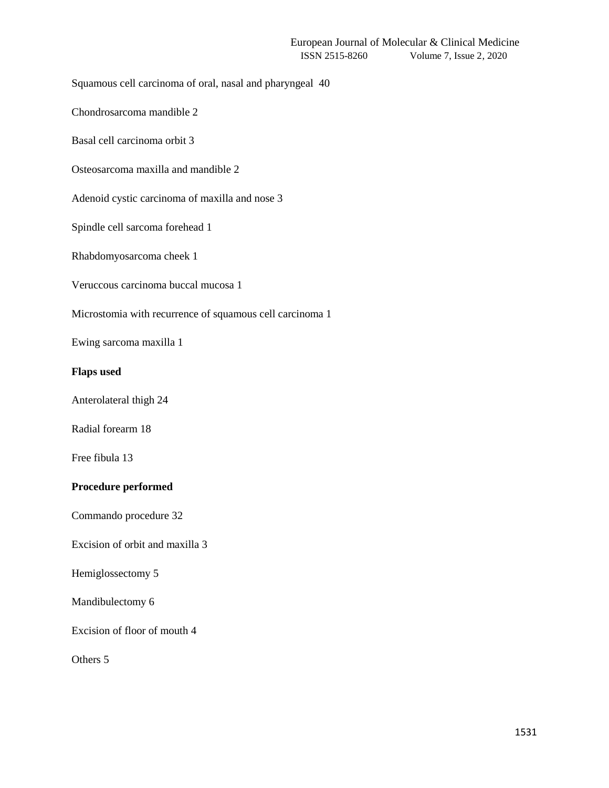Squamous cell carcinoma of oral, nasal and pharyngeal 40

Chondrosarcoma mandible 2

Basal cell carcinoma orbit 3

Osteosarcoma maxilla and mandible 2

Adenoid cystic carcinoma of maxilla and nose 3

Spindle cell sarcoma forehead 1

Rhabdomyosarcoma cheek 1

Veruccous carcinoma buccal mucosa 1

Microstomia with recurrence of squamous cell carcinoma 1

Ewing sarcoma maxilla 1

## **Flaps used**

Anterolateral thigh 24

Radial forearm 18

Free fibula 13

# **Procedure performed**

Commando procedure 32

Excision of orbit and maxilla 3

Hemiglossectomy 5

Mandibulectomy 6

Excision of floor of mouth 4

Others 5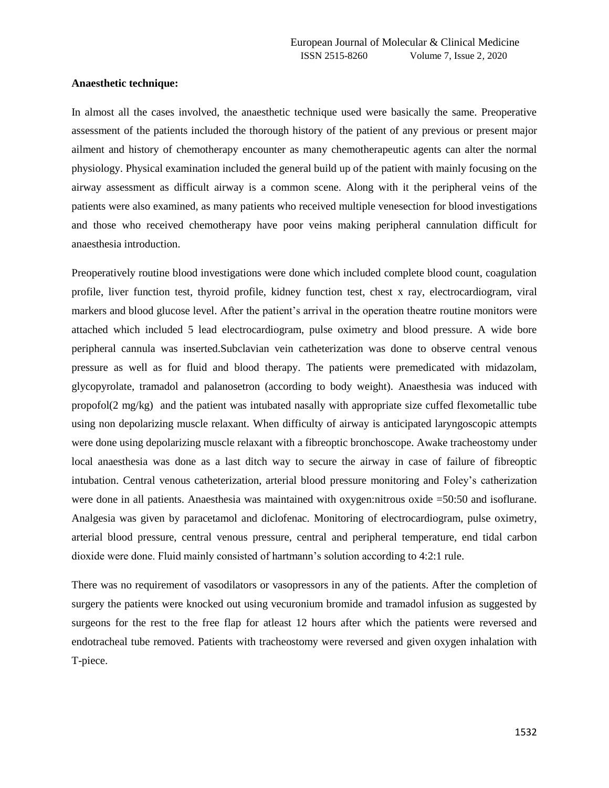### **Anaesthetic technique:**

In almost all the cases involved, the anaesthetic technique used were basically the same. Preoperative assessment of the patients included the thorough history of the patient of any previous or present major ailment and history of chemotherapy encounter as many chemotherapeutic agents can alter the normal physiology. Physical examination included the general build up of the patient with mainly focusing on the airway assessment as difficult airway is a common scene. Along with it the peripheral veins of the patients were also examined, as many patients who received multiple venesection for blood investigations and those who received chemotherapy have poor veins making peripheral cannulation difficult for anaesthesia introduction.

Preoperatively routine blood investigations were done which included complete blood count, coagulation profile, liver function test, thyroid profile, kidney function test, chest x ray, electrocardiogram, viral markers and blood glucose level. After the patient's arrival in the operation theatre routine monitors were attached which included 5 lead electrocardiogram, pulse oximetry and blood pressure. A wide bore peripheral cannula was inserted.Subclavian vein catheterization was done to observe central venous pressure as well as for fluid and blood therapy. The patients were premedicated with midazolam, glycopyrolate, tramadol and palanosetron (according to body weight). Anaesthesia was induced with propofol(2 mg/kg) and the patient was intubated nasally with appropriate size cuffed flexometallic tube using non depolarizing muscle relaxant. When difficulty of airway is anticipated laryngoscopic attempts were done using depolarizing muscle relaxant with a fibreoptic bronchoscope. Awake tracheostomy under local anaesthesia was done as a last ditch way to secure the airway in case of failure of fibreoptic intubation. Central venous catheterization, arterial blood pressure monitoring and Foley's catherization were done in all patients. Anaesthesia was maintained with oxygen:nitrous oxide =50:50 and isoflurane. Analgesia was given by paracetamol and diclofenac. Monitoring of electrocardiogram, pulse oximetry, arterial blood pressure, central venous pressure, central and peripheral temperature, end tidal carbon dioxide were done. Fluid mainly consisted of hartmann's solution according to 4:2:1 rule.

There was no requirement of vasodilators or vasopressors in any of the patients. After the completion of surgery the patients were knocked out using vecuronium bromide and tramadol infusion as suggested by surgeons for the rest to the free flap for atleast 12 hours after which the patients were reversed and endotracheal tube removed. Patients with tracheostomy were reversed and given oxygen inhalation with T-piece.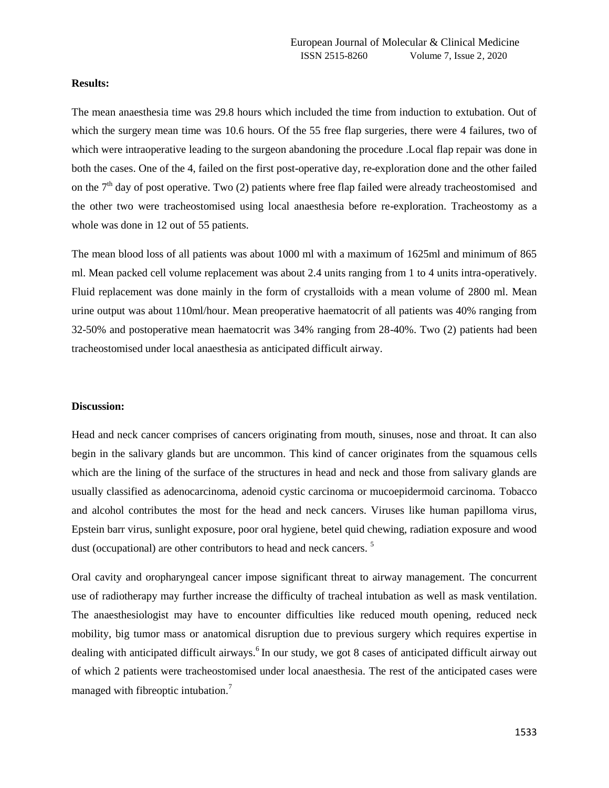### **Results:**

The mean anaesthesia time was 29.8 hours which included the time from induction to extubation. Out of which the surgery mean time was 10.6 hours. Of the 55 free flap surgeries, there were 4 failures, two of which were intraoperative leading to the surgeon abandoning the procedure . Local flap repair was done in both the cases. One of the 4, failed on the first post-operative day, re-exploration done and the other failed on the  $7<sup>th</sup>$  day of post operative. Two (2) patients where free flap failed were already tracheostomised and the other two were tracheostomised using local anaesthesia before re-exploration. Tracheostomy as a whole was done in 12 out of 55 patients.

The mean blood loss of all patients was about 1000 ml with a maximum of 1625ml and minimum of 865 ml. Mean packed cell volume replacement was about 2.4 units ranging from 1 to 4 units intra-operatively. Fluid replacement was done mainly in the form of crystalloids with a mean volume of 2800 ml. Mean urine output was about 110ml/hour. Mean preoperative haematocrit of all patients was 40% ranging from 32-50% and postoperative mean haematocrit was 34% ranging from 28-40%. Two (2) patients had been tracheostomised under local anaesthesia as anticipated difficult airway.

### **Discussion:**

Head and neck cancer comprises of cancers originating from mouth, sinuses, nose and throat. It can also begin in the salivary glands but are uncommon. This kind of cancer originates from the squamous cells which are the lining of the surface of the structures in head and neck and those from salivary glands are usually classified as adenocarcinoma, adenoid cystic carcinoma or mucoepidermoid carcinoma. Tobacco and alcohol contributes the most for the head and neck cancers. Viruses like human papilloma virus, Epstein barr virus, sunlight exposure, poor oral hygiene, betel quid chewing, radiation exposure and wood dust (occupational) are other contributors to head and neck cancers.<sup>5</sup>

Oral cavity and oropharyngeal cancer impose significant threat to airway management. The concurrent use of radiotherapy may further increase the difficulty of tracheal intubation as well as mask ventilation. The anaesthesiologist may have to encounter difficulties like reduced mouth opening, reduced neck mobility, big tumor mass or anatomical disruption due to previous surgery which requires expertise in dealing with anticipated difficult airways.<sup>6</sup> In our study, we got 8 cases of anticipated difficult airway out of which 2 patients were tracheostomised under local anaesthesia. The rest of the anticipated cases were managed with fibreoptic intubation.<sup>7</sup>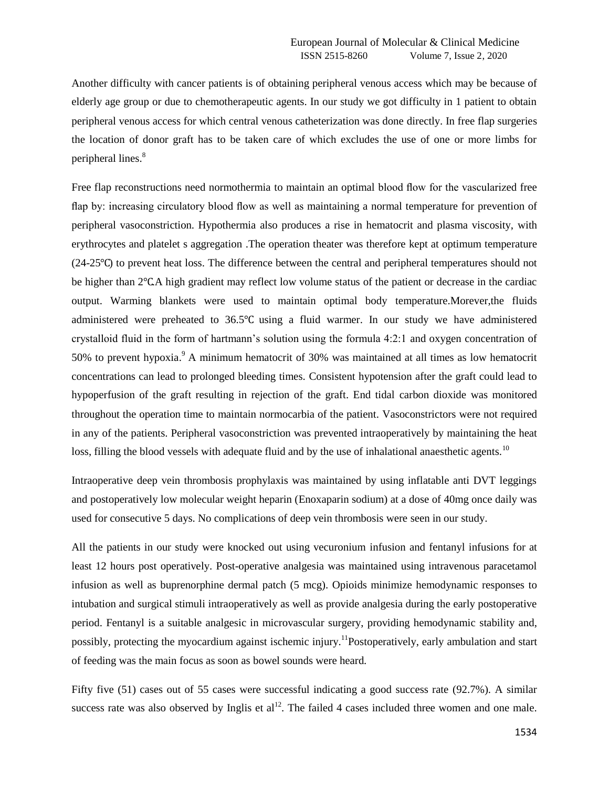Another difficulty with cancer patients is of obtaining peripheral venous access which may be because of elderly age group or due to chemotherapeutic agents. In our study we got difficulty in 1 patient to obtain peripheral venous access for which central venous catheterization was done directly. In free flap surgeries the location of donor graft has to be taken care of which excludes the use of one or more limbs for peripheral lines.<sup>8</sup>

Free flap reconstructions need normothermia to maintain an optimal blood flow for the vascularized free flap by: increasing circulatory blood flow as well as maintaining a normal temperature for prevention of peripheral vasoconstriction. Hypothermia also produces a rise in hematocrit and plasma viscosity, with erythrocytes and platelet s aggregation .The operation theater was therefore kept at optimum temperature (24-25℃) to prevent heat loss. The difference between the central and peripheral temperatures should not be higher than 2℃.A high gradient may reflect low volume status of the patient or decrease in the cardiac output. Warming blankets were used to maintain optimal body temperature.Morever,the fluids administered were preheated to 36.5℃ using a fluid warmer. In our study we have administered crystalloid fluid in the form of hartmann's solution using the formula 4:2:1 and oxygen concentration of 50% to prevent hypoxia.<sup>9</sup> A minimum hematocrit of 30% was maintained at all times as low hematocrit concentrations can lead to prolonged bleeding times. Consistent hypotension after the graft could lead to hypoperfusion of the graft resulting in rejection of the graft. End tidal carbon dioxide was monitored throughout the operation time to maintain normocarbia of the patient. Vasoconstrictors were not required in any of the patients. Peripheral vasoconstriction was prevented intraoperatively by maintaining the heat loss, filling the blood vessels with adequate fluid and by the use of inhalational anaesthetic agents.<sup>10</sup>

Intraoperative deep vein thrombosis prophylaxis was maintained by using inflatable anti DVT leggings and postoperatively low molecular weight heparin (Enoxaparin sodium) at a dose of 40mg once daily was used for consecutive 5 days. No complications of deep vein thrombosis were seen in our study.

All the patients in our study were knocked out using vecuronium infusion and fentanyl infusions for at least 12 hours post operatively. Post-operative analgesia was maintained using intravenous paracetamol infusion as well as buprenorphine dermal patch (5 mcg). Opioids minimize hemodynamic responses to intubation and surgical stimuli intraoperatively as well as provide analgesia during the early postoperative period. Fentanyl is a suitable analgesic in microvascular surgery, providing hemodynamic stability and, possibly, protecting the myocardium against ischemic injury.<sup>11</sup>Postoperatively, early ambulation and start of feeding was the main focus as soon as bowel sounds were heard.

Fifty five (51) cases out of 55 cases were successful indicating a good success rate (92.7%). A similar success rate was also observed by Inglis et  $al<sup>12</sup>$ . The failed 4 cases included three women and one male.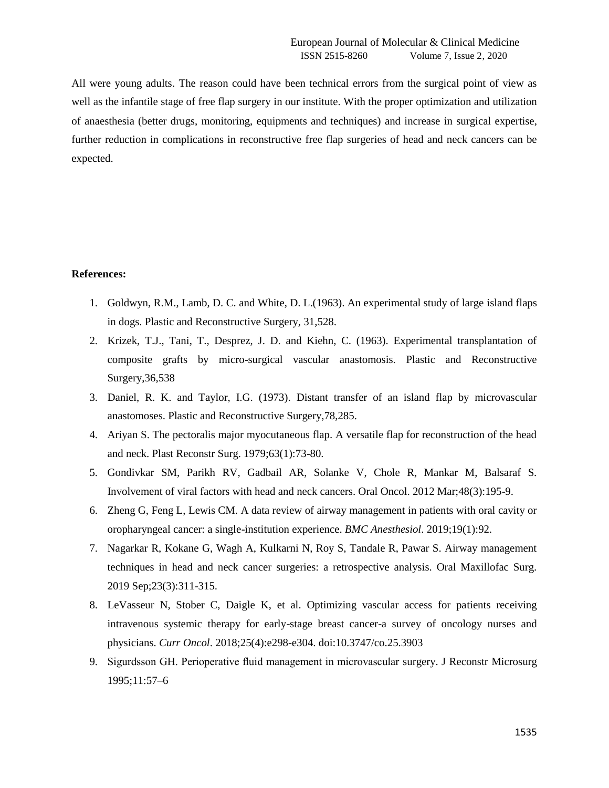All were young adults. The reason could have been technical errors from the surgical point of view as well as the infantile stage of free flap surgery in our institute. With the proper optimization and utilization of anaesthesia (better drugs, monitoring, equipments and techniques) and increase in surgical expertise, further reduction in complications in reconstructive free flap surgeries of head and neck cancers can be expected.

# **References:**

- 1. Goldwyn, R.M., Lamb, D. C. and White, D. L.(1963). An experimental study of large island flaps in dogs. Plastic and Reconstructive Surgery, 31,528.
- 2. Krizek, T.J., Tani, T., Desprez, J. D. and Kiehn, C. (1963). Experimental transplantation of composite grafts by micro-surgical vascular anastomosis. Plastic and Reconstructive Surgery,36,538
- 3. Daniel, R. K. and Taylor, I.G. (1973). Distant transfer of an island flap by microvascular anastomoses. Plastic and Reconstructive Surgery,78,285.
- 4. Ariyan S. The pectoralis major myocutaneous flap. A versatile flap for reconstruction of the head and neck. Plast Reconstr Surg. 1979;63(1):73-80.
- 5. Gondivkar SM, Parikh RV, Gadbail AR, Solanke V, Chole R, Mankar M, Balsaraf S. Involvement of viral factors with head and neck cancers. Oral Oncol. 2012 Mar;48(3):195-9.
- 6. Zheng G, Feng L, Lewis CM. A data review of airway management in patients with oral cavity or oropharyngeal cancer: a single-institution experience. *BMC Anesthesiol*. 2019;19(1):92.
- 7. Nagarkar R, Kokane G, Wagh A, Kulkarni N, Roy S, Tandale R, Pawar S. Airway management techniques in head and neck cancer surgeries: a retrospective analysis. Oral Maxillofac Surg. 2019 Sep;23(3):311-315.
- 8. LeVasseur N, Stober C, Daigle K, et al. Optimizing vascular access for patients receiving intravenous systemic therapy for early-stage breast cancer-a survey of oncology nurses and physicians. *Curr Oncol*. 2018;25(4):e298-e304. doi:10.3747/co.25.3903
- 9. Sigurdsson GH. Perioperative fluid management in microvascular surgery. J Reconstr Microsurg 1995;11:57–6